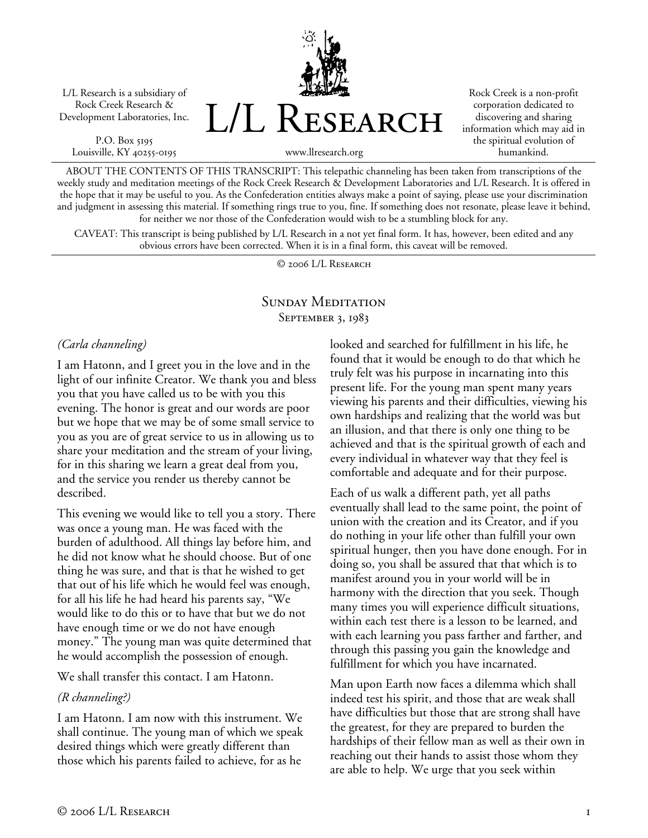L/L Research is a subsidiary of Rock Creek Research & Development Laboratories, Inc.

P.O. Box 5195 Louisville, KY 40255-0195 L/L Research

Rock Creek is a non-profit corporation dedicated to discovering and sharing information which may aid in the spiritual evolution of humankind.

www.llresearch.org

ABOUT THE CONTENTS OF THIS TRANSCRIPT: This telepathic channeling has been taken from transcriptions of the weekly study and meditation meetings of the Rock Creek Research & Development Laboratories and L/L Research. It is offered in the hope that it may be useful to you. As the Confederation entities always make a point of saying, please use your discrimination and judgment in assessing this material. If something rings true to you, fine. If something does not resonate, please leave it behind, for neither we nor those of the Confederation would wish to be a stumbling block for any.

CAVEAT: This transcript is being published by L/L Research in a not yet final form. It has, however, been edited and any obvious errors have been corrected. When it is in a final form, this caveat will be removed.

© 2006 L/L Research

#### SUNDAY MEDITATION SEPTEMBER 3, 1983

*(Carla channeling)* 

I am Hatonn, and I greet you in the love and in the light of our infinite Creator. We thank you and bless you that you have called us to be with you this evening. The honor is great and our words are poor but we hope that we may be of some small service to you as you are of great service to us in allowing us to share your meditation and the stream of your living, for in this sharing we learn a great deal from you, and the service you render us thereby cannot be described.

This evening we would like to tell you a story. There was once a young man. He was faced with the burden of adulthood. All things lay before him, and he did not know what he should choose. But of one thing he was sure, and that is that he wished to get that out of his life which he would feel was enough, for all his life he had heard his parents say, "We would like to do this or to have that but we do not have enough time or we do not have enough money." The young man was quite determined that he would accomplish the possession of enough.

We shall transfer this contact. I am Hatonn.

### *(R channeling?)*

I am Hatonn. I am now with this instrument. We shall continue. The young man of which we speak desired things which were greatly different than those which his parents failed to achieve, for as he

looked and searched for fulfillment in his life, he found that it would be enough to do that which he truly felt was his purpose in incarnating into this present life. For the young man spent many years viewing his parents and their difficulties, viewing his own hardships and realizing that the world was but an illusion, and that there is only one thing to be achieved and that is the spiritual growth of each and every individual in whatever way that they feel is comfortable and adequate and for their purpose.

Each of us walk a different path, yet all paths eventually shall lead to the same point, the point of union with the creation and its Creator, and if you do nothing in your life other than fulfill your own spiritual hunger, then you have done enough. For in doing so, you shall be assured that that which is to manifest around you in your world will be in harmony with the direction that you seek. Though many times you will experience difficult situations, within each test there is a lesson to be learned, and with each learning you pass farther and farther, and through this passing you gain the knowledge and fulfillment for which you have incarnated.

Man upon Earth now faces a dilemma which shall indeed test his spirit, and those that are weak shall have difficulties but those that are strong shall have the greatest, for they are prepared to burden the hardships of their fellow man as well as their own in reaching out their hands to assist those whom they are able to help. We urge that you seek within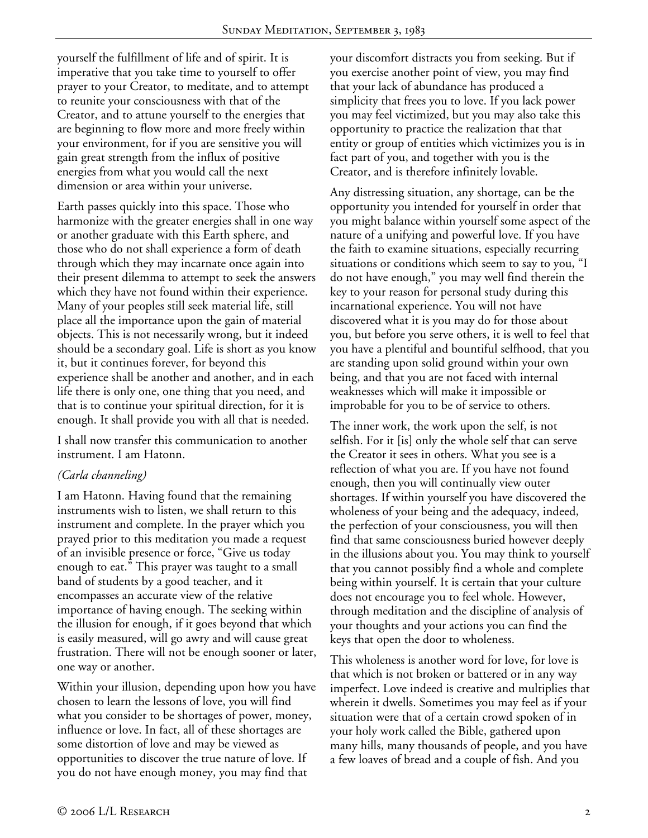yourself the fulfillment of life and of spirit. It is imperative that you take time to yourself to offer prayer to your Creator, to meditate, and to attempt to reunite your consciousness with that of the Creator, and to attune yourself to the energies that are beginning to flow more and more freely within your environment, for if you are sensitive you will gain great strength from the influx of positive energies from what you would call the next dimension or area within your universe.

Earth passes quickly into this space. Those who harmonize with the greater energies shall in one way or another graduate with this Earth sphere, and those who do not shall experience a form of death through which they may incarnate once again into their present dilemma to attempt to seek the answers which they have not found within their experience. Many of your peoples still seek material life, still place all the importance upon the gain of material objects. This is not necessarily wrong, but it indeed should be a secondary goal. Life is short as you know it, but it continues forever, for beyond this experience shall be another and another, and in each life there is only one, one thing that you need, and that is to continue your spiritual direction, for it is enough. It shall provide you with all that is needed.

I shall now transfer this communication to another instrument. I am Hatonn.

# *(Carla channeling)*

I am Hatonn. Having found that the remaining instruments wish to listen, we shall return to this instrument and complete. In the prayer which you prayed prior to this meditation you made a request of an invisible presence or force, "Give us today enough to eat." This prayer was taught to a small band of students by a good teacher, and it encompasses an accurate view of the relative importance of having enough. The seeking within the illusion for enough, if it goes beyond that which is easily measured, will go awry and will cause great frustration. There will not be enough sooner or later, one way or another.

Within your illusion, depending upon how you have chosen to learn the lessons of love, you will find what you consider to be shortages of power, money, influence or love. In fact, all of these shortages are some distortion of love and may be viewed as opportunities to discover the true nature of love. If you do not have enough money, you may find that

your discomfort distracts you from seeking. But if you exercise another point of view, you may find that your lack of abundance has produced a simplicity that frees you to love. If you lack power you may feel victimized, but you may also take this opportunity to practice the realization that that entity or group of entities which victimizes you is in fact part of you, and together with you is the Creator, and is therefore infinitely lovable.

Any distressing situation, any shortage, can be the opportunity you intended for yourself in order that you might balance within yourself some aspect of the nature of a unifying and powerful love. If you have the faith to examine situations, especially recurring situations or conditions which seem to say to you, "I do not have enough," you may well find therein the key to your reason for personal study during this incarnational experience. You will not have discovered what it is you may do for those about you, but before you serve others, it is well to feel that you have a plentiful and bountiful selfhood, that you are standing upon solid ground within your own being, and that you are not faced with internal weaknesses which will make it impossible or improbable for you to be of service to others.

The inner work, the work upon the self, is not selfish. For it [is] only the whole self that can serve the Creator it sees in others. What you see is a reflection of what you are. If you have not found enough, then you will continually view outer shortages. If within yourself you have discovered the wholeness of your being and the adequacy, indeed, the perfection of your consciousness, you will then find that same consciousness buried however deeply in the illusions about you. You may think to yourself that you cannot possibly find a whole and complete being within yourself. It is certain that your culture does not encourage you to feel whole. However, through meditation and the discipline of analysis of your thoughts and your actions you can find the keys that open the door to wholeness.

This wholeness is another word for love, for love is that which is not broken or battered or in any way imperfect. Love indeed is creative and multiplies that wherein it dwells. Sometimes you may feel as if your situation were that of a certain crowd spoken of in your holy work called the Bible, gathered upon many hills, many thousands of people, and you have a few loaves of bread and a couple of fish. And you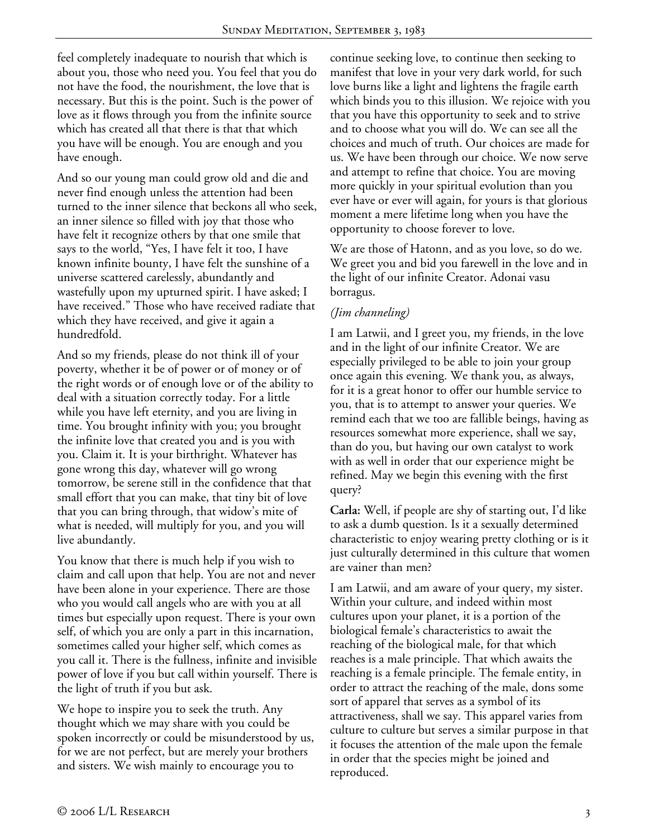feel completely inadequate to nourish that which is about you, those who need you. You feel that you do not have the food, the nourishment, the love that is necessary. But this is the point. Such is the power of love as it flows through you from the infinite source which has created all that there is that that which you have will be enough. You are enough and you have enough.

And so our young man could grow old and die and never find enough unless the attention had been turned to the inner silence that beckons all who seek, an inner silence so filled with joy that those who have felt it recognize others by that one smile that says to the world, "Yes, I have felt it too, I have known infinite bounty, I have felt the sunshine of a universe scattered carelessly, abundantly and wastefully upon my upturned spirit. I have asked; I have received." Those who have received radiate that which they have received, and give it again a hundredfold.

And so my friends, please do not think ill of your poverty, whether it be of power or of money or of the right words or of enough love or of the ability to deal with a situation correctly today. For a little while you have left eternity, and you are living in time. You brought infinity with you; you brought the infinite love that created you and is you with you. Claim it. It is your birthright. Whatever has gone wrong this day, whatever will go wrong tomorrow, be serene still in the confidence that that small effort that you can make, that tiny bit of love that you can bring through, that widow's mite of what is needed, will multiply for you, and you will live abundantly.

You know that there is much help if you wish to claim and call upon that help. You are not and never have been alone in your experience. There are those who you would call angels who are with you at all times but especially upon request. There is your own self, of which you are only a part in this incarnation, sometimes called your higher self, which comes as you call it. There is the fullness, infinite and invisible power of love if you but call within yourself. There is the light of truth if you but ask.

We hope to inspire you to seek the truth. Any thought which we may share with you could be spoken incorrectly or could be misunderstood by us, for we are not perfect, but are merely your brothers and sisters. We wish mainly to encourage you to

continue seeking love, to continue then seeking to manifest that love in your very dark world, for such love burns like a light and lightens the fragile earth which binds you to this illusion. We rejoice with you that you have this opportunity to seek and to strive and to choose what you will do. We can see all the choices and much of truth. Our choices are made for us. We have been through our choice. We now serve and attempt to refine that choice. You are moving more quickly in your spiritual evolution than you ever have or ever will again, for yours is that glorious moment a mere lifetime long when you have the opportunity to choose forever to love.

We are those of Hatonn, and as you love, so do we. We greet you and bid you farewell in the love and in the light of our infinite Creator. Adonai vasu borragus.

## *(Jim channeling)*

I am Latwii, and I greet you, my friends, in the love and in the light of our infinite Creator. We are especially privileged to be able to join your group once again this evening. We thank you, as always, for it is a great honor to offer our humble service to you, that is to attempt to answer your queries. We remind each that we too are fallible beings, having as resources somewhat more experience, shall we say, than do you, but having our own catalyst to work with as well in order that our experience might be refined. May we begin this evening with the first query?

**Carla:** Well, if people are shy of starting out, I'd like to ask a dumb question. Is it a sexually determined characteristic to enjoy wearing pretty clothing or is it just culturally determined in this culture that women are vainer than men?

I am Latwii, and am aware of your query, my sister. Within your culture, and indeed within most cultures upon your planet, it is a portion of the biological female's characteristics to await the reaching of the biological male, for that which reaches is a male principle. That which awaits the reaching is a female principle. The female entity, in order to attract the reaching of the male, dons some sort of apparel that serves as a symbol of its attractiveness, shall we say. This apparel varies from culture to culture but serves a similar purpose in that it focuses the attention of the male upon the female in order that the species might be joined and reproduced.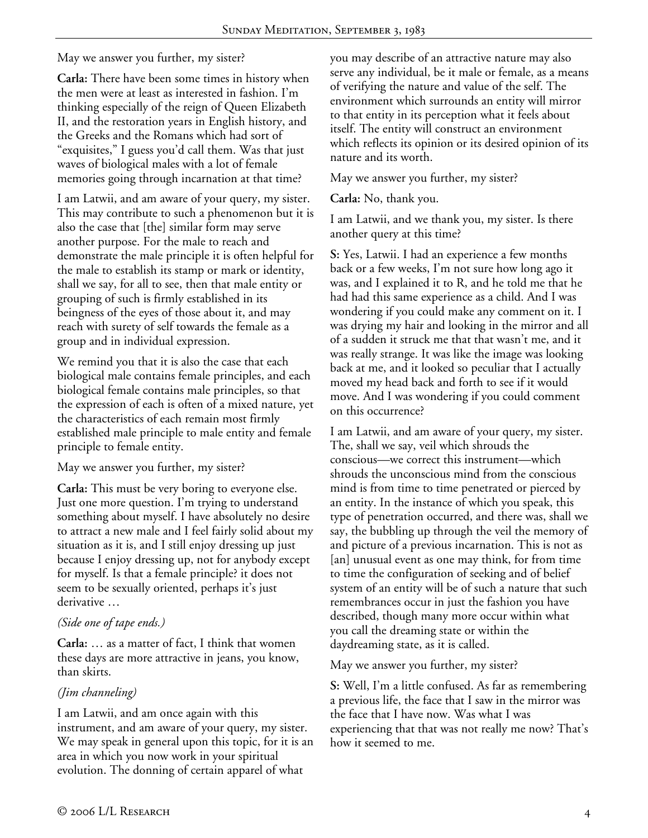May we answer you further, my sister?

**Carla:** There have been some times in history when the men were at least as interested in fashion. I'm thinking especially of the reign of Queen Elizabeth II, and the restoration years in English history, and the Greeks and the Romans which had sort of "exquisites," I guess you'd call them. Was that just waves of biological males with a lot of female memories going through incarnation at that time?

I am Latwii, and am aware of your query, my sister. This may contribute to such a phenomenon but it is also the case that [the] similar form may serve another purpose. For the male to reach and demonstrate the male principle it is often helpful for the male to establish its stamp or mark or identity, shall we say, for all to see, then that male entity or grouping of such is firmly established in its beingness of the eyes of those about it, and may reach with surety of self towards the female as a group and in individual expression.

We remind you that it is also the case that each biological male contains female principles, and each biological female contains male principles, so that the expression of each is often of a mixed nature, yet the characteristics of each remain most firmly established male principle to male entity and female principle to female entity.

May we answer you further, my sister?

**Carla:** This must be very boring to everyone else. Just one more question. I'm trying to understand something about myself. I have absolutely no desire to attract a new male and I feel fairly solid about my situation as it is, and I still enjoy dressing up just because I enjoy dressing up, not for anybody except for myself. Is that a female principle? it does not seem to be sexually oriented, perhaps it's just derivative …

### *(Side one of tape ends.)*

**Carla:** … as a matter of fact, I think that women these days are more attractive in jeans, you know, than skirts.

### *(Jim channeling)*

I am Latwii, and am once again with this instrument, and am aware of your query, my sister. We may speak in general upon this topic, for it is an area in which you now work in your spiritual evolution. The donning of certain apparel of what

you may describe of an attractive nature may also serve any individual, be it male or female, as a means of verifying the nature and value of the self. The environment which surrounds an entity will mirror to that entity in its perception what it feels about itself. The entity will construct an environment which reflects its opinion or its desired opinion of its nature and its worth.

May we answer you further, my sister?

**Carla:** No, thank you.

I am Latwii, and we thank you, my sister. Is there another query at this time?

**S:** Yes, Latwii. I had an experience a few months back or a few weeks, I'm not sure how long ago it was, and I explained it to R, and he told me that he had had this same experience as a child. And I was wondering if you could make any comment on it. I was drying my hair and looking in the mirror and all of a sudden it struck me that that wasn't me, and it was really strange. It was like the image was looking back at me, and it looked so peculiar that I actually moved my head back and forth to see if it would move. And I was wondering if you could comment on this occurrence?

I am Latwii, and am aware of your query, my sister. The, shall we say, veil which shrouds the conscious—we correct this instrument—which shrouds the unconscious mind from the conscious mind is from time to time penetrated or pierced by an entity. In the instance of which you speak, this type of penetration occurred, and there was, shall we say, the bubbling up through the veil the memory of and picture of a previous incarnation. This is not as [an] unusual event as one may think, for from time to time the configuration of seeking and of belief system of an entity will be of such a nature that such remembrances occur in just the fashion you have described, though many more occur within what you call the dreaming state or within the daydreaming state, as it is called.

May we answer you further, my sister?

**S:** Well, I'm a little confused. As far as remembering a previous life, the face that I saw in the mirror was the face that I have now. Was what I was experiencing that that was not really me now? That's how it seemed to me.